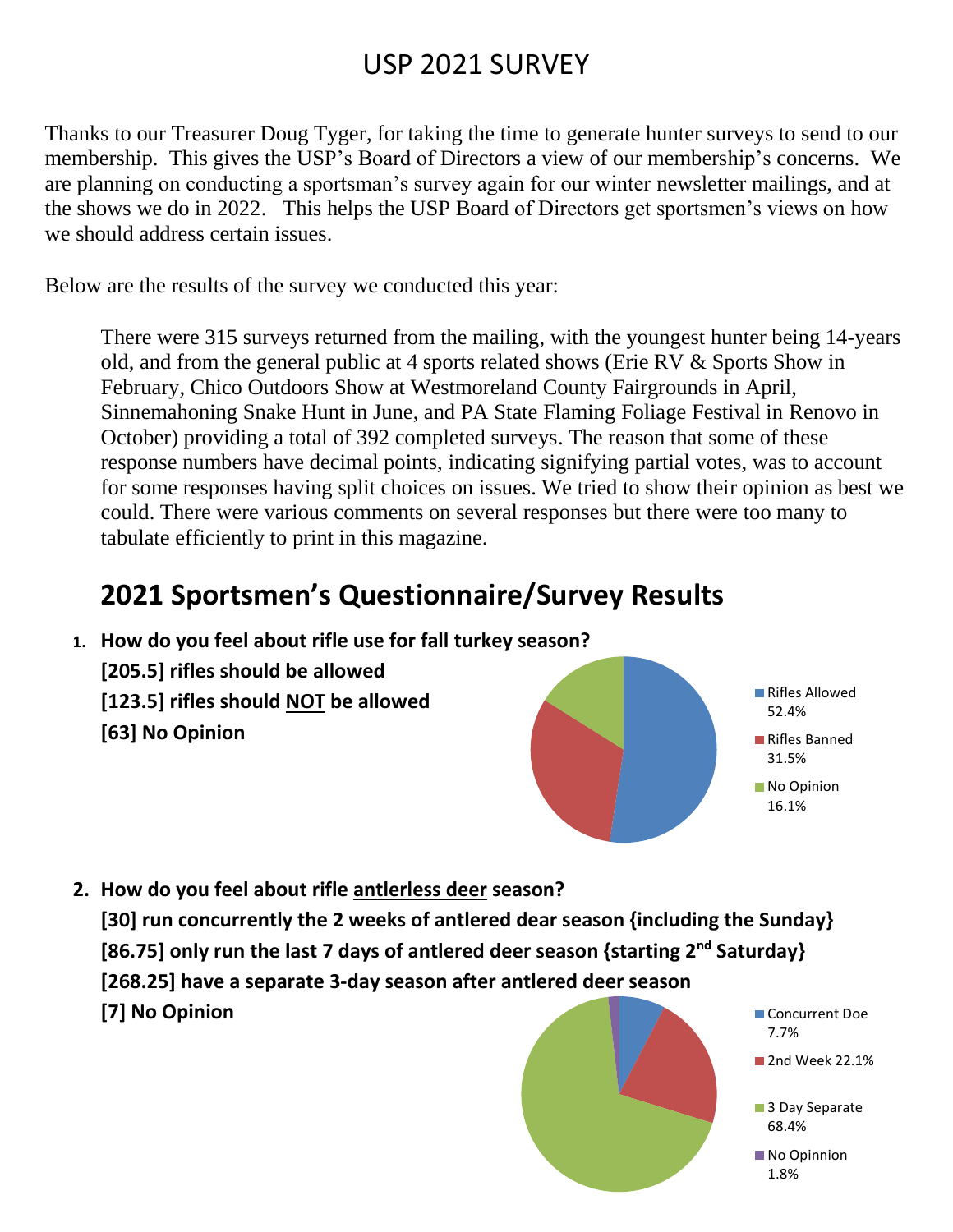## USP 2021 SURVEY

Thanks to our Treasurer Doug Tyger, for taking the time to generate hunter surveys to send to our membership. This gives the USP's Board of Directors a view of our membership's concerns. We are planning on conducting a sportsman's survey again for our winter newsletter mailings, and at the shows we do in 2022. This helps the USP Board of Directors get sportsmen's views on how we should address certain issues.

Below are the results of the survey we conducted this year:

There were 315 surveys returned from the mailing, with the youngest hunter being 14-years old, and from the general public at 4 sports related shows (Erie RV & Sports Show in February, Chico Outdoors Show at Westmoreland County Fairgrounds in April, Sinnemahoning Snake Hunt in June, and PA State Flaming Foliage Festival in Renovo in October) providing a total of 392 completed surveys. The reason that some of these response numbers have decimal points, indicating signifying partial votes, was to account for some responses having split choices on issues. We tried to show their opinion as best we could. There were various comments on several responses but there were too many to tabulate efficiently to print in this magazine.

## **2021 Sportsmen's Questionnaire/Survey Results**

- **1. How do you feel about rifle use for fall turkey season? [205.5] rifles should be allowed [123.5] rifles should NOT be allowed [63] No Opinion**
- **2. How do you feel about rifle antlerless deer season?**

**[30] run concurrently the 2 weeks of antlered dear season {including the Sunday} [86.75] only run the last 7 days of antlered deer season {starting 2nd Saturday} [268.25] have a separate 3-day season after antlered deer season [7] No Opinion**



Rifles Allowed 52.4%

Rifles Banned 31.5% No Opinion 16.1%